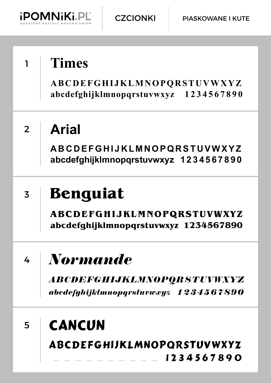

1 2 3 4 5 6 7 8 9 0

## <sup>1</sup> **Times ABCDEFGHIJKLMNOPQRSTUVWXYZ abcdefghijklmnopqrstuvwxyz 1 2 3 4 5 6 7 8 9 0 Arial ABCDEFGHIJKLMNOPQRSTUVWXYZ abcdefghijklmnopqrstuvwxyz 1 2 3 4 5 6 7 8 9 0** 2 3 4 5 *Normande ABCDEFGHIJKLMNOPQRSTUVWXYZ abcdefghijklmnopqrstuvwxyz 1 2 3 4 5 6 7 8 9 0* **Benguiat ABCDEFGHIJKLMNOPQRSTUVWXYZ abcdefghijklmnopqrstuvwxyz 1 2 3 4 5 6 7 8 9 0 CANCUN** ABCDEFGHIJKLMNOPQRSTUVWXYZ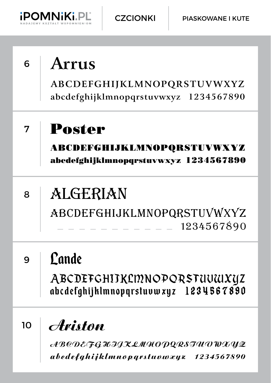

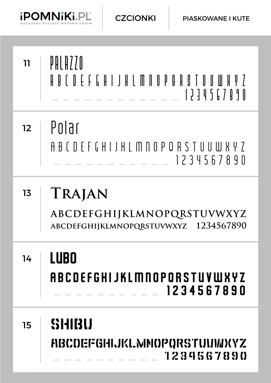

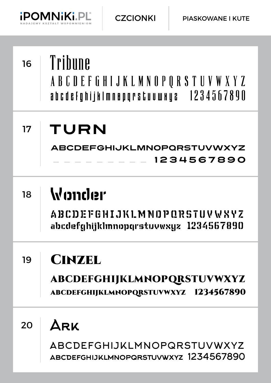

## Ark ABCDEFGHIJKLMNOPQRSTUVWXYZ ABCDEFGHIJKLMNOPQRSTUVWXYZ 1234567890 <sup>16</sup> Tribune ABCDEFGHIJKLMNOPQRSTUVWXYZ abcdefghijklmnopqrstuvwxyz  $1234567890$ TURN ABCDEFGHIJKLMNOPQRSTUVWXYZ 1 2 3 4 5 6 7 8 9 0 **Wonder ABCDEFGHIJKLMNOPQRSTUVWXYZ abcdefghijklmnopqrstuvwxyz 1 2 3 4 5 6 7 8 9 0 CINZEL** ABCDEFGHIJKLMNOPQRSTUVWXYZ ABCDEFGHIJKLMNOPQRSTUVWXYZ 1234567890 17 18 19 20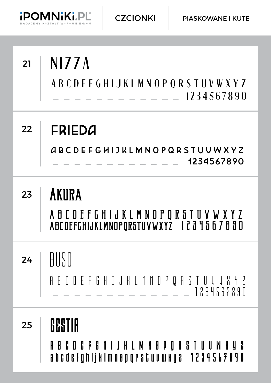

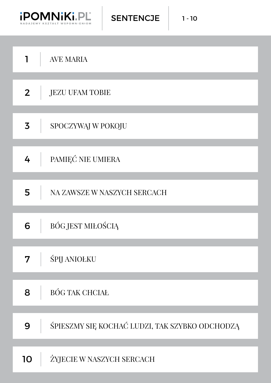

SENTENCJE

| 1              | <b>AVE MARIA</b>                               |
|----------------|------------------------------------------------|
|                |                                                |
| 2 <sup>2</sup> | <b>JEZU UFAM TOBIE</b>                         |
|                |                                                |
| $\overline{3}$ | SPOCZYWĄJ W POKOJU                             |
|                |                                                |
| 4              | PAMIĘĆ NIE UMIERA                              |
|                |                                                |
| 5              | NA ZAWSZE W NASZYCH SERCACH                    |
|                |                                                |
| 6              | BÓG JEST MIŁOŚCIĄ                              |
|                |                                                |
| 7              | <b>ŚPIJ ANIOŁKU</b>                            |
|                |                                                |
| 8              | <b>BÓG TAK CHCIAŁ</b>                          |
|                |                                                |
| 9              | ŚPIESZMY SIĘ KOCHAĆ LUDZI, TAK SZYBKO ODCHODZĄ |
|                |                                                |
| 10             | ŻYJECIE W NASZYCH SERCACH                      |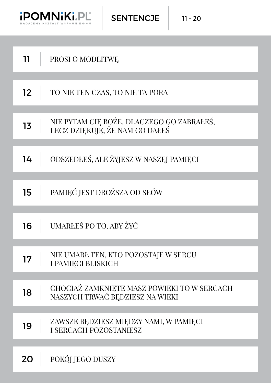

SENTENCJE

| 11 | PROSI O MODLITWE                                                               |
|----|--------------------------------------------------------------------------------|
| 12 | TO NIE TEN CZAS, TO NIE TA PORA                                                |
| 13 | NIE PYTAM CIĘ BOŻE, DLACZEGO GO ZABRAŁEŚ,<br>LECZ DZIEKUJE, ŻE NAM GO DAŁEŚ    |
| 14 | ODSZEDŁEŚ, ALE ŻYJESZ W NASZEJ PAMIECI                                         |
| 15 | PAMIEĆ JEST DROŻSZA OD SŁÓW                                                    |
| 16 | UMARŁEŚ PO TO, ABY ŻYĆ                                                         |
| 17 | NIE UMARŁ TEN, KTO POZOSTAJE W SERCU<br>I PAMIECI BLISKICH                     |
| 18 | CHOCIAŻ ZAMKNIETE MASZ POWIEKI TO W SERCACH<br>NASZYCH TRWAĆ BEDZIESZ NA WIEKI |
| 19 | ZAWSZE BĘDZIESZ MIĘDZY NAMI, W PAMIĘCI<br><b>I SERCACH POZOSTANIESZ</b>        |
| 20 | POKÓJ JEGO DUSZY                                                               |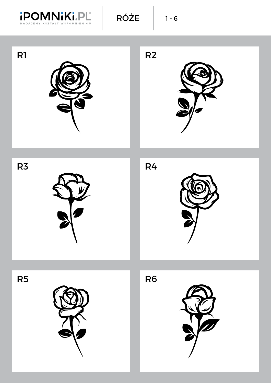

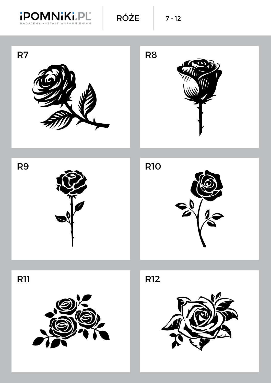





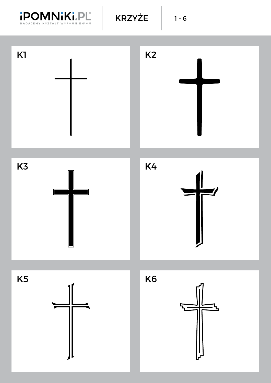

KRZYŻE | 1-6









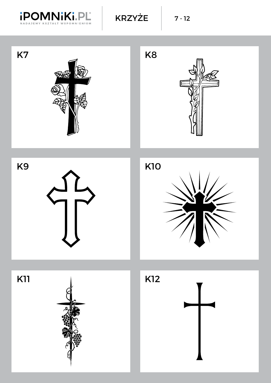

KRZYŻE | 7-12